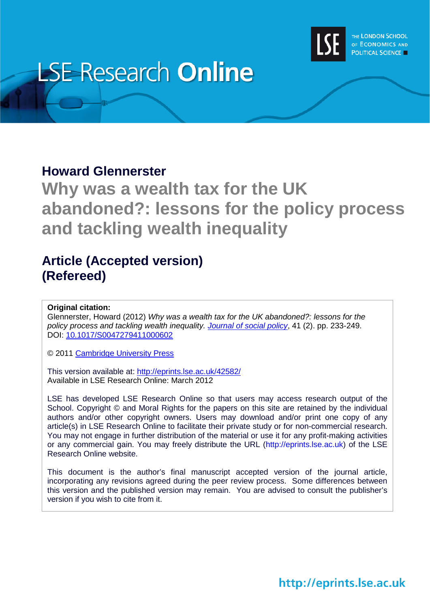

# **LSE Research Online**

# **Howard Glennerster**

**Why was a wealth tax for the UK abandoned?: lessons for the policy process and tackling wealth inequality**

# **Article (Accepted version) (Refereed)**

# **Original citation:**

Glennerster, Howard (2012) *Why was a wealth tax for the UK abandoned?: lessons for the policy process and tackling wealth inequality. [Journal of social policy](http://journals.cambridge.org/action/displayJournal?jid=JSP)*, 41 (2). pp. 233-249. DOI: [10.1017/S0047279411000602](http://dx.doi.org/10.1017/S0047279411000602)

© 2011 [Cambridge University Press](http://www.cambridge.org/)

This version available at:<http://eprints.lse.ac.uk/42582/> Available in LSE Research Online: March 2012

LSE has developed LSE Research Online so that users may access research output of the School. Copyright © and Moral Rights for the papers on this site are retained by the individual authors and/or other copyright owners. Users may download and/or print one copy of any article(s) in LSE Research Online to facilitate their private study or for non-commercial research. You may not engage in further distribution of the material or use it for any profit-making activities or any commercial gain. You may freely distribute the URL (http://eprints.lse.ac.uk) of the LSE Research Online website.

This document is the author's final manuscript accepted version of the journal article, incorporating any revisions agreed during the peer review process. Some differences between this version and the published version may remain. You are advised to consult the publisher's version if you wish to cite from it.

http://eprints.lse.ac.uk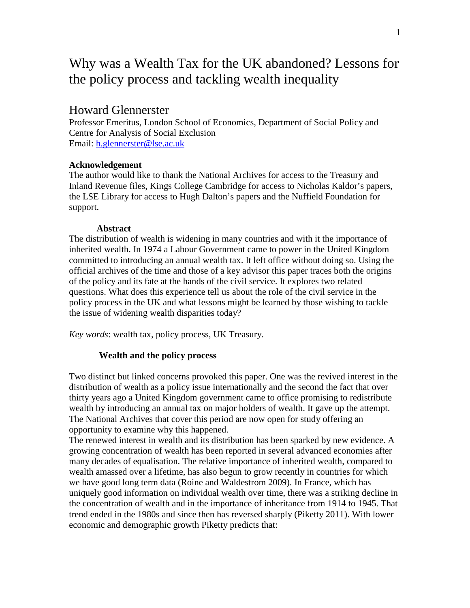# Why was a Wealth Tax for the UK abandoned? Lessons for the policy process and tackling wealth inequality

# Howard Glennerster

Professor Emeritus, London School of Economics, Department of Social Policy and Centre for Analysis of Social Exclusion Email: [h.glennerster@lse.ac.uk](mailto:h.glennerster@lse.ac.uk)

# **Acknowledgement**

The author would like to thank the National Archives for access to the Treasury and Inland Revenue files, Kings College Cambridge for access to Nicholas Kaldor's papers, the LSE Library for access to Hugh Dalton's papers and the Nuffield Foundation for support.

## **Abstract**

The distribution of wealth is widening in many countries and with it the importance of inherited wealth. In 1974 a Labour Government came to power in the United Kingdom committed to introducing an annual wealth tax. It left office without doing so. Using the official archives of the time and those of a key advisor this paper traces both the origins of the policy and its fate at the hands of the civil service. It explores two related questions. What does this experience tell us about the role of the civil service in the policy process in the UK and what lessons might be learned by those wishing to tackle the issue of widening wealth disparities today?

*Key words*: wealth tax, policy process, UK Treasury.

## **Wealth and the policy process**

Two distinct but linked concerns provoked this paper. One was the revived interest in the distribution of wealth as a policy issue internationally and the second the fact that over thirty years ago a United Kingdom government came to office promising to redistribute wealth by introducing an annual tax on major holders of wealth. It gave up the attempt. The National Archives that cover this period are now open for study offering an opportunity to examine why this happened.

The renewed interest in wealth and its distribution has been sparked by new evidence. A growing concentration of wealth has been reported in several advanced economies after many decades of equalisation. The relative importance of inherited wealth, compared to wealth amassed over a lifetime, has also begun to grow recently in countries for which we have good long term data (Roine and Waldestrom 2009). In France, which has uniquely good information on individual wealth over time, there was a striking decline in the concentration of wealth and in the importance of inheritance from 1914 to 1945. That trend ended in the 1980s and since then has reversed sharply (Piketty 2011). With lower economic and demographic growth Piketty predicts that: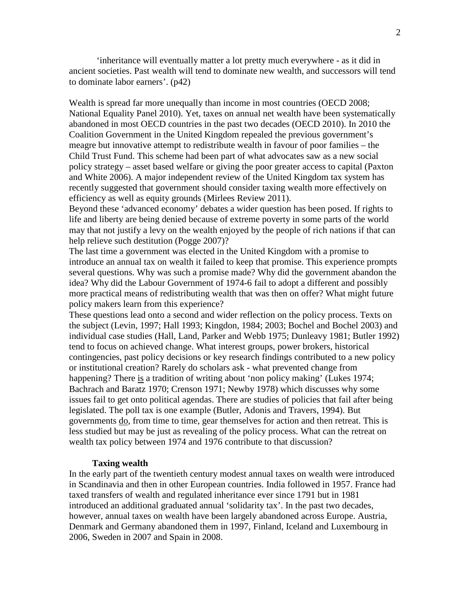'inheritance will eventually matter a lot pretty much everywhere - as it did in ancient societies. Past wealth will tend to dominate new wealth, and successors will tend to dominate labor earners'. (p42)

Wealth is spread far more unequally than income in most countries (OECD 2008; National Equality Panel 2010). Yet, taxes on annual net wealth have been systematically abandoned in most OECD countries in the past two decades (OECD 2010). In 2010 the Coalition Government in the United Kingdom repealed the previous government's meagre but innovative attempt to redistribute wealth in favour of poor families – the Child Trust Fund. This scheme had been part of what advocates saw as a new social policy strategy – asset based welfare or giving the poor greater access to capital (Paxton and White 2006). A major independent review of the United Kingdom tax system has recently suggested that government should consider taxing wealth more effectively on efficiency as well as equity grounds (Mirlees Review 2011).

Beyond these 'advanced economy' debates a wider question has been posed. If rights to life and liberty are being denied because of extreme poverty in some parts of the world may that not justify a levy on the wealth enjoyed by the people of rich nations if that can help relieve such destitution (Pogge 2007)?

The last time a government was elected in the United Kingdom with a promise to introduce an annual tax on wealth it failed to keep that promise. This experience prompts several questions. Why was such a promise made? Why did the government abandon the idea? Why did the Labour Government of 1974-6 fail to adopt a different and possibly more practical means of redistributing wealth that was then on offer? What might future policy makers learn from this experience?

These questions lead onto a second and wider reflection on the policy process. Texts on the subject (Levin, 1997; Hall 1993; Kingdon, 1984; 2003; Bochel and Bochel 2003) and individual case studies (Hall, Land, Parker and Webb 1975; Dunleavy 1981; Butler 1992) tend to focus on achieved change. What interest groups, power brokers, historical contingencies, past policy decisions or key research findings contributed to a new policy or institutional creation? Rarely do scholars ask - what prevented change from happening? There is a tradition of writing about 'non policy making' (Lukes 1974; Bachrach and Baratz 1970; Crenson 1971; Newby 1978) which discusses why some issues fail to get onto political agendas. There are studies of policies that fail after being legislated. The poll tax is one example (Butler, Adonis and Travers, 1994). But governments do, from time to time, gear themselves for action and then retreat. This is less studied but may be just as revealing of the policy process. What can the retreat on wealth tax policy between 1974 and 1976 contribute to that discussion?

#### **Taxing wealth**

In the early part of the twentieth century modest annual taxes on wealth were introduced in Scandinavia and then in other European countries. India followed in 1957. France had taxed transfers of wealth and regulated inheritance ever since 1791 but in 1981 introduced an additional graduated annual 'solidarity tax'. In the past two decades, however, annual taxes on wealth have been largely abandoned across Europe. Austria, Denmark and Germany abandoned them in 1997, Finland, Iceland and Luxembourg in 2006, Sweden in 2007 and Spain in 2008.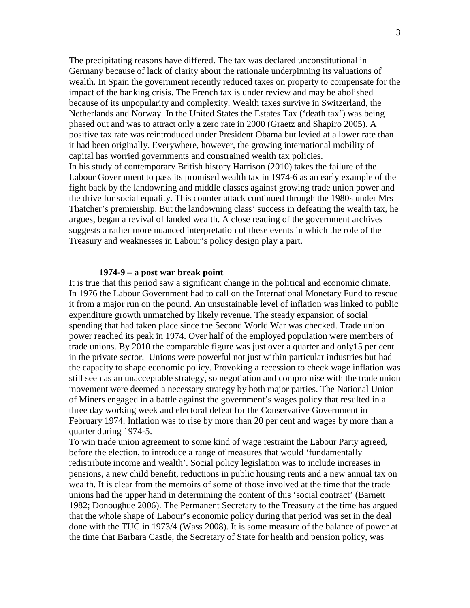The precipitating reasons have differed. The tax was declared unconstitutional in Germany because of lack of clarity about the rationale underpinning its valuations of wealth. In Spain the government recently reduced taxes on property to compensate for the impact of the banking crisis. The French tax is under review and may be abolished because of its unpopularity and complexity. Wealth taxes survive in Switzerland, the Netherlands and Norway. In the United States the Estates Tax ('death tax') was being phased out and was to attract only a zero rate in 2000 (Graetz and Shapiro 2005). A positive tax rate was reintroduced under President Obama but levied at a lower rate than it had been originally. Everywhere, however, the growing international mobility of capital has worried governments and constrained wealth tax policies. In his study of contemporary British history Harrison (2010) takes the failure of the Labour Government to pass its promised wealth tax in 1974-6 as an early example of the fight back by the landowning and middle classes against growing trade union power and the drive for social equality. This counter attack continued through the 1980s under Mrs Thatcher's premiership. But the landowning class' success in defeating the wealth tax, he argues, began a revival of landed wealth. A close reading of the government archives suggests a rather more nuanced interpretation of these events in which the role of the Treasury and weaknesses in Labour's policy design play a part.

#### **1974-9 – a post war break point**

It is true that this period saw a significant change in the political and economic climate. In 1976 the Labour Government had to call on the International Monetary Fund to rescue it from a major run on the pound. An unsustainable level of inflation was linked to public expenditure growth unmatched by likely revenue. The steady expansion of social spending that had taken place since the Second World War was checked. Trade union power reached its peak in 1974. Over half of the employed population were members of trade unions. By 2010 the comparable figure was just over a quarter and only15 per cent in the private sector. Unions were powerful not just within particular industries but had the capacity to shape economic policy. Provoking a recession to check wage inflation was still seen as an unacceptable strategy, so negotiation and compromise with the trade union movement were deemed a necessary strategy by both major parties. The National Union of Miners engaged in a battle against the government's wages policy that resulted in a three day working week and electoral defeat for the Conservative Government in February 1974. Inflation was to rise by more than 20 per cent and wages by more than a quarter during 1974-5.

To win trade union agreement to some kind of wage restraint the Labour Party agreed, before the election, to introduce a range of measures that would 'fundamentally redistribute income and wealth'. Social policy legislation was to include increases in pensions, a new child benefit, reductions in public housing rents and a new annual tax on wealth. It is clear from the memoirs of some of those involved at the time that the trade unions had the upper hand in determining the content of this 'social contract' (Barnett 1982; Donoughue 2006). The Permanent Secretary to the Treasury at the time has argued that the whole shape of Labour's economic policy during that period was set in the deal done with the TUC in 1973/4 (Wass 2008). It is some measure of the balance of power at the time that Barbara Castle, the Secretary of State for health and pension policy, was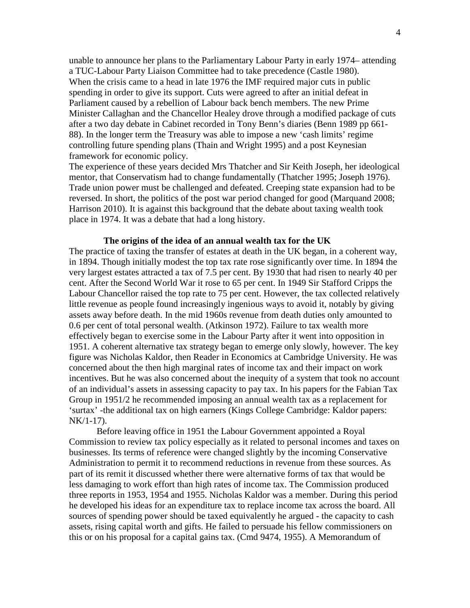unable to announce her plans to the Parliamentary Labour Party in early 1974– attending a TUC-Labour Party Liaison Committee had to take precedence (Castle 1980). When the crisis came to a head in late 1976 the IMF required major cuts in public spending in order to give its support. Cuts were agreed to after an initial defeat in Parliament caused by a rebellion of Labour back bench members. The new Prime Minister Callaghan and the Chancellor Healey drove through a modified package of cuts after a two day debate in Cabinet recorded in Tony Benn's diaries (Benn 1989 pp 661- 88). In the longer term the Treasury was able to impose a new 'cash limits' regime controlling future spending plans (Thain and Wright 1995) and a post Keynesian framework for economic policy.

The experience of these years decided Mrs Thatcher and Sir Keith Joseph, her ideological mentor, that Conservatism had to change fundamentally (Thatcher 1995; Joseph 1976). Trade union power must be challenged and defeated. Creeping state expansion had to be reversed. In short, the politics of the post war period changed for good (Marquand 2008; Harrison 2010). It is against this background that the debate about taxing wealth took place in 1974. It was a debate that had a long history.

#### **The origins of the idea of an annual wealth tax for the UK**

The practice of taxing the transfer of estates at death in the UK began, in a coherent way, in 1894. Though initially modest the top tax rate rose significantly over time. In 1894 the very largest estates attracted a tax of 7.5 per cent. By 1930 that had risen to nearly 40 per cent. After the Second World War it rose to 65 per cent. In 1949 Sir Stafford Cripps the Labour Chancellor raised the top rate to 75 per cent. However, the tax collected relatively little revenue as people found increasingly ingenious ways to avoid it, notably by giving assets away before death. In the mid 1960s revenue from death duties only amounted to 0.6 per cent of total personal wealth. (Atkinson 1972). Failure to tax wealth more effectively began to exercise some in the Labour Party after it went into opposition in 1951. A coherent alternative tax strategy began to emerge only slowly, however. The key figure was Nicholas Kaldor, then Reader in Economics at Cambridge University. He was concerned about the then high marginal rates of income tax and their impact on work incentives. But he was also concerned about the inequity of a system that took no account of an individual's assets in assessing capacity to pay tax. In his papers for the Fabian Tax Group in 1951/2 he recommended imposing an annual wealth tax as a replacement for 'surtax' -the additional tax on high earners (Kings College Cambridge: Kaldor papers: NK/1-17).

Before leaving office in 1951 the Labour Government appointed a Royal Commission to review tax policy especially as it related to personal incomes and taxes on businesses. Its terms of reference were changed slightly by the incoming Conservative Administration to permit it to recommend reductions in revenue from these sources. As part of its remit it discussed whether there were alternative forms of tax that would be less damaging to work effort than high rates of income tax. The Commission produced three reports in 1953, 1954 and 1955. Nicholas Kaldor was a member. During this period he developed his ideas for an expenditure tax to replace income tax across the board. All sources of spending power should be taxed equivalently he argued - the capacity to cash assets, rising capital worth and gifts. He failed to persuade his fellow commissioners on this or on his proposal for a capital gains tax. (Cmd 9474, 1955). A Memorandum of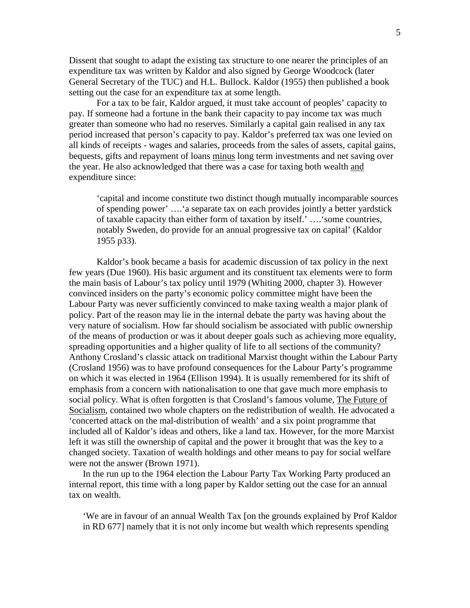Dissent that sought to adapt the existing tax structure to one nearer the principles of an expenditure tax was written by Kaldor and also signed by George Woodcock (later General Secretary of the TUC) and H.L. Bullock. Kaldor (1955) then published a book setting out the case for an expenditure tax at some length.

For a tax to be fair, Kaldor argued, it must take account of peoples' capacity to pay. If someone had a fortune in the bank their capacity to pay income tax was much greater than someone who had no reserves. Similarly a capital gain realised in any tax period increased that person's capacity to pay. Kaldor's preferred tax was one levied on all kinds of receipts - wages and salaries, proceeds from the sales of assets, capital gains, bequests, gifts and repayment of loans minus long term investments and net saving over the year. He also acknowledged that there was a case for taxing both wealth and expenditure since:

'capital and income constitute two distinct though mutually incomparable sources of spending power' ….'a separate tax on each provides jointly a better yardstick of taxable capacity than either form of taxation by itself.' ….'some countries, notably Sweden, do provide for an annual progressive tax on capital' (Kaldor 1955 p33).

Kaldor's book became a basis for academic discussion of tax policy in the next few years (Due 1960). His basic argument and its constituent tax elements were to form the main basis of Labour's tax policy until 1979 (Whiting 2000, chapter 3). However convinced insiders on the party's economic policy committee might have been the Labour Party was never sufficiently convinced to make taxing wealth a major plank of policy. Part of the reason may lie in the internal debate the party was having about the very nature of socialism. How far should socialism be associated with public ownership of the means of production or was it about deeper goals such as achieving more equality, spreading opportunities and a higher quality of life to all sections of the community? Anthony Crosland's classic attack on traditional Marxist thought within the Labour Party (Crosland 1956) was to have profound consequences for the Labour Party's programme on which it was elected in 1964 (Ellison 1994). It is usually remembered for its shift of emphasis from a concern with nationalisation to one that gave much more emphasis to social policy. What is often forgotten is that Crosland's famous volume, The Future of Socialism, contained two whole chapters on the redistribution of wealth. He advocated a 'concerted attack on the mal-distribution of wealth' and a six point programme that included all of Kaldor's ideas and others, like a land tax. However, for the more Marxist left it was still the ownership of capital and the power it brought that was the key to a changed society. Taxation of wealth holdings and other means to pay for social welfare were not the answer (Brown 1971).

In the run up to the 1964 election the Labour Party Tax Working Party produced an internal report, this time with a long paper by Kaldor setting out the case for an annual tax on wealth.

'We are in favour of an annual Wealth Tax [on the grounds explained by Prof Kaldor in RD 677] namely that it is not only income but wealth which represents spending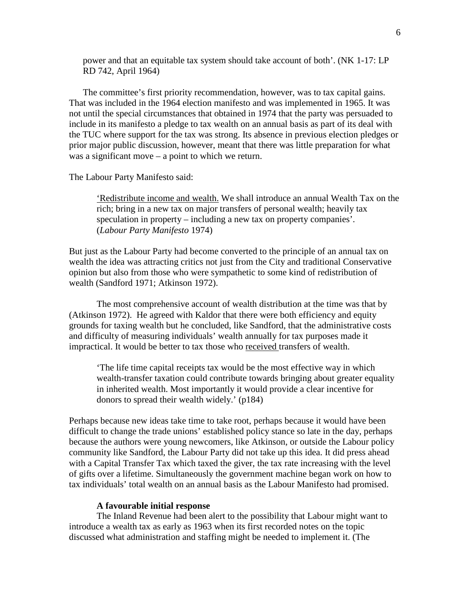power and that an equitable tax system should take account of both'. (NK 1-17: LP RD 742, April 1964)

The committee's first priority recommendation, however, was to tax capital gains. That was included in the 1964 election manifesto and was implemented in 1965. It was not until the special circumstances that obtained in 1974 that the party was persuaded to include in its manifesto a pledge to tax wealth on an annual basis as part of its deal with the TUC where support for the tax was strong. Its absence in previous election pledges or prior major public discussion, however, meant that there was little preparation for what was a significant move – a point to which we return.

The Labour Party Manifesto said:

'Redistribute income and wealth. We shall introduce an annual Wealth Tax on the rich; bring in a new tax on major transfers of personal wealth; heavily tax speculation in property – including a new tax on property companies'. (*Labour Party Manifesto* 1974)

But just as the Labour Party had become converted to the principle of an annual tax on wealth the idea was attracting critics not just from the City and traditional Conservative opinion but also from those who were sympathetic to some kind of redistribution of wealth (Sandford 1971; Atkinson 1972).

The most comprehensive account of wealth distribution at the time was that by (Atkinson 1972). He agreed with Kaldor that there were both efficiency and equity grounds for taxing wealth but he concluded, like Sandford, that the administrative costs and difficulty of measuring individuals' wealth annually for tax purposes made it impractical. It would be better to tax those who received transfers of wealth.

'The life time capital receipts tax would be the most effective way in which wealth-transfer taxation could contribute towards bringing about greater equality in inherited wealth. Most importantly it would provide a clear incentive for donors to spread their wealth widely.' (p184)

Perhaps because new ideas take time to take root, perhaps because it would have been difficult to change the trade unions' established policy stance so late in the day, perhaps because the authors were young newcomers, like Atkinson, or outside the Labour policy community like Sandford, the Labour Party did not take up this idea. It did press ahead with a Capital Transfer Tax which taxed the giver, the tax rate increasing with the level of gifts over a lifetime. Simultaneously the government machine began work on how to tax individuals' total wealth on an annual basis as the Labour Manifesto had promised.

## **A favourable initial response**

The Inland Revenue had been alert to the possibility that Labour might want to introduce a wealth tax as early as 1963 when its first recorded notes on the topic discussed what administration and staffing might be needed to implement it. (The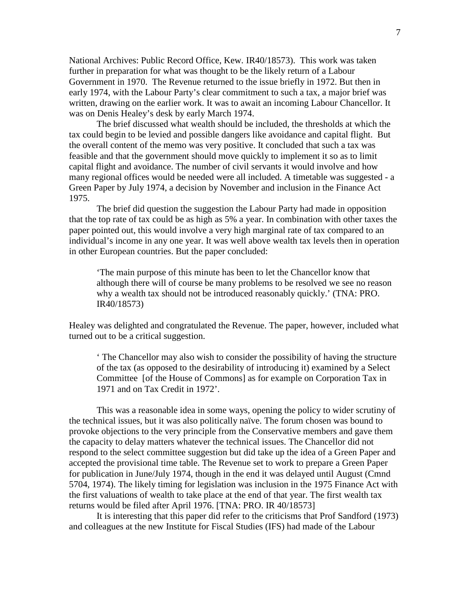National Archives: Public Record Office, Kew. IR40/18573). This work was taken further in preparation for what was thought to be the likely return of a Labour Government in 1970. The Revenue returned to the issue briefly in 1972. But then in early 1974, with the Labour Party's clear commitment to such a tax, a major brief was written, drawing on the earlier work. It was to await an incoming Labour Chancellor. It was on Denis Healey's desk by early March 1974.

The brief discussed what wealth should be included, the thresholds at which the tax could begin to be levied and possible dangers like avoidance and capital flight. But the overall content of the memo was very positive. It concluded that such a tax was feasible and that the government should move quickly to implement it so as to limit capital flight and avoidance. The number of civil servants it would involve and how many regional offices would be needed were all included. A timetable was suggested - a Green Paper by July 1974, a decision by November and inclusion in the Finance Act 1975.

The brief did question the suggestion the Labour Party had made in opposition that the top rate of tax could be as high as 5% a year. In combination with other taxes the paper pointed out, this would involve a very high marginal rate of tax compared to an individual's income in any one year. It was well above wealth tax levels then in operation in other European countries. But the paper concluded:

'The main purpose of this minute has been to let the Chancellor know that although there will of course be many problems to be resolved we see no reason why a wealth tax should not be introduced reasonably quickly.' (TNA: PRO. IR40/18573)

Healey was delighted and congratulated the Revenue. The paper, however, included what turned out to be a critical suggestion.

' The Chancellor may also wish to consider the possibility of having the structure of the tax (as opposed to the desirability of introducing it) examined by a Select Committee [of the House of Commons] as for example on Corporation Tax in 1971 and on Tax Credit in 1972'.

This was a reasonable idea in some ways, opening the policy to wider scrutiny of the technical issues, but it was also politically naïve. The forum chosen was bound to provoke objections to the very principle from the Conservative members and gave them the capacity to delay matters whatever the technical issues. The Chancellor did not respond to the select committee suggestion but did take up the idea of a Green Paper and accepted the provisional time table. The Revenue set to work to prepare a Green Paper for publication in June/July 1974, though in the end it was delayed until August (Cmnd 5704, 1974). The likely timing for legislation was inclusion in the 1975 Finance Act with the first valuations of wealth to take place at the end of that year. The first wealth tax returns would be filed after April 1976. [TNA: PRO. IR 40/18573]

It is interesting that this paper did refer to the criticisms that Prof Sandford (1973) and colleagues at the new Institute for Fiscal Studies (IFS) had made of the Labour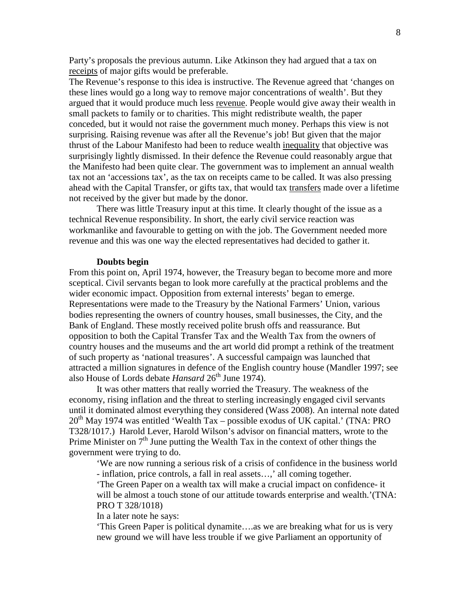Party's proposals the previous autumn. Like Atkinson they had argued that a tax on receipts of major gifts would be preferable.

The Revenue's response to this idea is instructive. The Revenue agreed that 'changes on these lines would go a long way to remove major concentrations of wealth'. But they argued that it would produce much less revenue. People would give away their wealth in small packets to family or to charities. This might redistribute wealth, the paper conceded, but it would not raise the government much money. Perhaps this view is not surprising. Raising revenue was after all the Revenue's job! But given that the major thrust of the Labour Manifesto had been to reduce wealth inequality that objective was surprisingly lightly dismissed. In their defence the Revenue could reasonably argue that the Manifesto had been quite clear. The government was to implement an annual wealth tax not an 'accessions tax', as the tax on receipts came to be called. It was also pressing ahead with the Capital Transfer, or gifts tax, that would tax transfers made over a lifetime not received by the giver but made by the donor.

There was little Treasury input at this time. It clearly thought of the issue as a technical Revenue responsibility. In short, the early civil service reaction was workmanlike and favourable to getting on with the job. The Government needed more revenue and this was one way the elected representatives had decided to gather it.

#### **Doubts begin**

From this point on, April 1974, however, the Treasury began to become more and more sceptical. Civil servants began to look more carefully at the practical problems and the wider economic impact. Opposition from external interests' began to emerge. Representations were made to the Treasury by the National Farmers' Union, various bodies representing the owners of country houses, small businesses, the City, and the Bank of England. These mostly received polite brush offs and reassurance. But opposition to both the Capital Transfer Tax and the Wealth Tax from the owners of country houses and the museums and the art world did prompt a rethink of the treatment of such property as 'national treasures'. A successful campaign was launched that attracted a million signatures in defence of the English country house (Mandler 1997; see also House of Lords debate *Hansard* 26<sup>th</sup> June 1974).

It was other matters that really worried the Treasury. The weakness of the economy, rising inflation and the threat to sterling increasingly engaged civil servants until it dominated almost everything they considered (Wass 2008). An internal note dated  $20<sup>th</sup>$  May 1974 was entitled 'Wealth Tax – possible exodus of UK capital.' (TNA: PRO T328/1017.) Harold Lever, Harold Wilson's advisor on financial matters, wrote to the Prime Minister on  $7<sup>th</sup>$  June putting the Wealth Tax in the context of other things the government were trying to do.

'We are now running a serious risk of a crisis of confidence in the business world - inflation, price controls, a fall in real assets…,' all coming together.

'The Green Paper on a wealth tax will make a crucial impact on confidence- it will be almost a touch stone of our attitude towards enterprise and wealth.'(TNA: PRO T 328/1018)

In a later note he says:

'This Green Paper is political dynamite….as we are breaking what for us is very new ground we will have less trouble if we give Parliament an opportunity of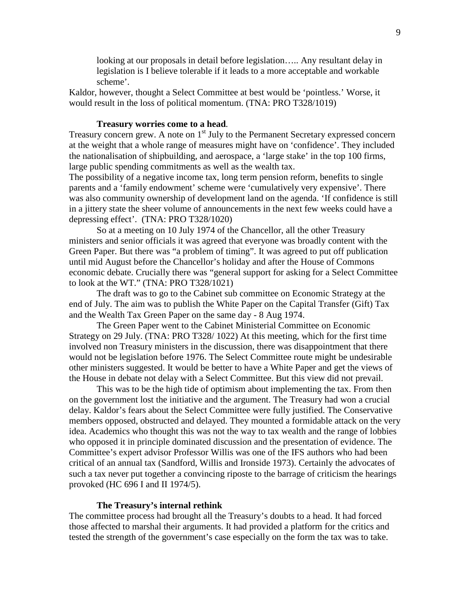looking at our proposals in detail before legislation….. Any resultant delay in legislation is I believe tolerable if it leads to a more acceptable and workable scheme'.

Kaldor, however, thought a Select Committee at best would be 'pointless.' Worse, it would result in the loss of political momentum. (TNA: PRO T328/1019)

#### **Treasury worries come to a head***.*

Treasury concern grew. A note on  $1<sup>st</sup>$  July to the Permanent Secretary expressed concern at the weight that a whole range of measures might have on 'confidence'. They included the nationalisation of shipbuilding, and aerospace, a 'large stake' in the top 100 firms, large public spending commitments as well as the wealth tax.

The possibility of a negative income tax, long term pension reform, benefits to single parents and a 'family endowment' scheme were 'cumulatively very expensive'. There was also community ownership of development land on the agenda. 'If confidence is still in a jittery state the sheer volume of announcements in the next few weeks could have a depressing effect'. (TNA: PRO T328/1020)

So at a meeting on 10 July 1974 of the Chancellor, all the other Treasury ministers and senior officials it was agreed that everyone was broadly content with the Green Paper. But there was "a problem of timing". It was agreed to put off publication until mid August before the Chancellor's holiday and after the House of Commons economic debate. Crucially there was "general support for asking for a Select Committee to look at the WT." (TNA: PRO T328/1021)

The draft was to go to the Cabinet sub committee on Economic Strategy at the end of July. The aim was to publish the White Paper on the Capital Transfer (Gift) Tax and the Wealth Tax Green Paper on the same day - 8 Aug 1974.

The Green Paper went to the Cabinet Ministerial Committee on Economic Strategy on 29 July. (TNA: PRO T328/ 1022) At this meeting, which for the first time involved non Treasury ministers in the discussion, there was disappointment that there would not be legislation before 1976. The Select Committee route might be undesirable other ministers suggested. It would be better to have a White Paper and get the views of the House in debate not delay with a Select Committee. But this view did not prevail.

This was to be the high tide of optimism about implementing the tax. From then on the government lost the initiative and the argument. The Treasury had won a crucial delay. Kaldor's fears about the Select Committee were fully justified. The Conservative members opposed, obstructed and delayed. They mounted a formidable attack on the very idea. Academics who thought this was not the way to tax wealth and the range of lobbies who opposed it in principle dominated discussion and the presentation of evidence. The Committee's expert advisor Professor Willis was one of the IFS authors who had been critical of an annual tax (Sandford, Willis and Ironside 1973). Certainly the advocates of such a tax never put together a convincing riposte to the barrage of criticism the hearings provoked (HC 696 I and II 1974/5).

#### **The Treasury's internal rethink**

The committee process had brought all the Treasury's doubts to a head. It had forced those affected to marshal their arguments. It had provided a platform for the critics and tested the strength of the government's case especially on the form the tax was to take.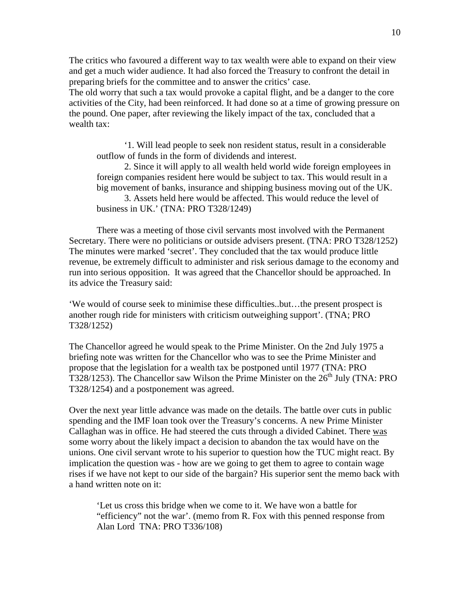The critics who favoured a different way to tax wealth were able to expand on their view and get a much wider audience. It had also forced the Treasury to confront the detail in preparing briefs for the committee and to answer the critics' case.

The old worry that such a tax would provoke a capital flight, and be a danger to the core activities of the City, had been reinforced. It had done so at a time of growing pressure on the pound. One paper, after reviewing the likely impact of the tax, concluded that a wealth tax:

'1. Will lead people to seek non resident status, result in a considerable outflow of funds in the form of dividends and interest.

2. Since it will apply to all wealth held world wide foreign employees in foreign companies resident here would be subject to tax. This would result in a big movement of banks, insurance and shipping business moving out of the UK.

3. Assets held here would be affected. This would reduce the level of business in UK.' (TNA: PRO T328/1249)

There was a meeting of those civil servants most involved with the Permanent Secretary. There were no politicians or outside advisers present. (TNA: PRO T328/1252) The minutes were marked 'secret'. They concluded that the tax would produce little revenue, be extremely difficult to administer and risk serious damage to the economy and run into serious opposition. It was agreed that the Chancellor should be approached. In its advice the Treasury said:

'We would of course seek to minimise these difficulties..but…the present prospect is another rough ride for ministers with criticism outweighing support'. (TNA; PRO T328/1252)

The Chancellor agreed he would speak to the Prime Minister. On the 2nd July 1975 a briefing note was written for the Chancellor who was to see the Prime Minister and propose that the legislation for a wealth tax be postponed until 1977 (TNA: PRO T328/1253). The Chancellor saw Wilson the Prime Minister on the  $26<sup>th</sup>$  July (TNA: PRO T328/1254) and a postponement was agreed.

Over the next year little advance was made on the details. The battle over cuts in public spending and the IMF loan took over the Treasury's concerns. A new Prime Minister Callaghan was in office. He had steered the cuts through a divided Cabinet. There was some worry about the likely impact a decision to abandon the tax would have on the unions. One civil servant wrote to his superior to question how the TUC might react. By implication the question was - how are we going to get them to agree to contain wage rises if we have not kept to our side of the bargain? His superior sent the memo back with a hand written note on it:

'Let us cross this bridge when we come to it. We have won a battle for "efficiency" not the war'. (memo from R. Fox with this penned response from Alan Lord TNA: PRO T336/108)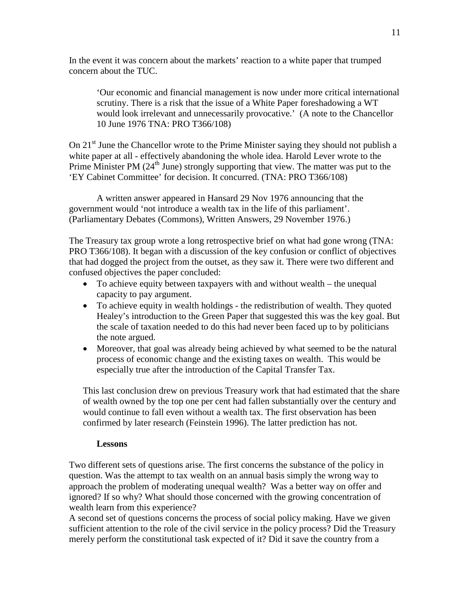In the event it was concern about the markets' reaction to a white paper that trumped concern about the TUC.

'Our economic and financial management is now under more critical international scrutiny. There is a risk that the issue of a White Paper foreshadowing a WT would look irrelevant and unnecessarily provocative.' (A note to the Chancellor 10 June 1976 TNA: PRO T366/108)

On  $21<sup>st</sup>$  June the Chancellor wrote to the Prime Minister saying they should not publish a white paper at all - effectively abandoning the whole idea. Harold Lever wrote to the Prime Minister PM (24<sup>th</sup> June) strongly supporting that view. The matter was put to the 'EY Cabinet Committee' for decision. It concurred. (TNA: PRO T366/108)

A written answer appeared in Hansard 29 Nov 1976 announcing that the government would 'not introduce a wealth tax in the life of this parliament'. (Parliamentary Debates (Commons), Written Answers, 29 November 1976.)

The Treasury tax group wrote a long retrospective brief on what had gone wrong (TNA: PRO T366/108). It began with a discussion of the key confusion or conflict of objectives that had dogged the project from the outset, as they saw it. There were two different and confused objectives the paper concluded:

- To achieve equity between taxpayers with and without wealth the unequal capacity to pay argument.
- To achieve equity in wealth holdings the redistribution of wealth. They quoted Healey's introduction to the Green Paper that suggested this was the key goal. But the scale of taxation needed to do this had never been faced up to by politicians the note argued.
- Moreover, that goal was already being achieved by what seemed to be the natural process of economic change and the existing taxes on wealth. This would be especially true after the introduction of the Capital Transfer Tax.

This last conclusion drew on previous Treasury work that had estimated that the share of wealth owned by the top one per cent had fallen substantially over the century and would continue to fall even without a wealth tax. The first observation has been confirmed by later research (Feinstein 1996). The latter prediction has not.

# **Lessons**

Two different sets of questions arise. The first concerns the substance of the policy in question. Was the attempt to tax wealth on an annual basis simply the wrong way to approach the problem of moderating unequal wealth? Was a better way on offer and ignored? If so why? What should those concerned with the growing concentration of wealth learn from this experience?

A second set of questions concerns the process of social policy making. Have we given sufficient attention to the role of the civil service in the policy process? Did the Treasury merely perform the constitutional task expected of it? Did it save the country from a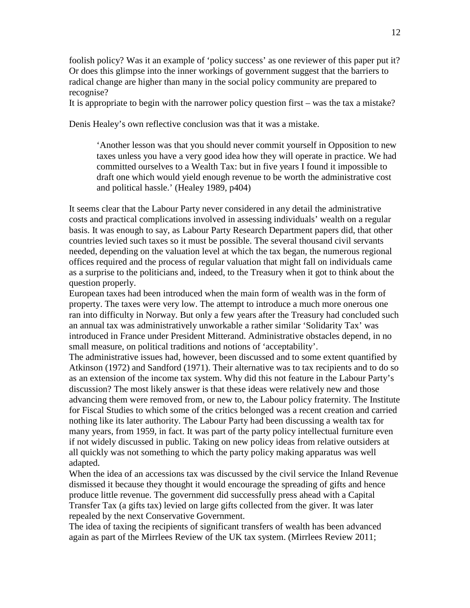foolish policy? Was it an example of 'policy success' as one reviewer of this paper put it? Or does this glimpse into the inner workings of government suggest that the barriers to radical change are higher than many in the social policy community are prepared to recognise?

It is appropriate to begin with the narrower policy question first – was the tax a mistake?

Denis Healey's own reflective conclusion was that it was a mistake.

'Another lesson was that you should never commit yourself in Opposition to new taxes unless you have a very good idea how they will operate in practice. We had committed ourselves to a Wealth Tax: but in five years I found it impossible to draft one which would yield enough revenue to be worth the administrative cost and political hassle.' (Healey 1989, p404)

It seems clear that the Labour Party never considered in any detail the administrative costs and practical complications involved in assessing individuals' wealth on a regular basis. It was enough to say, as Labour Party Research Department papers did, that other countries levied such taxes so it must be possible. The several thousand civil servants needed, depending on the valuation level at which the tax began, the numerous regional offices required and the process of regular valuation that might fall on individuals came as a surprise to the politicians and, indeed, to the Treasury when it got to think about the question properly.

European taxes had been introduced when the main form of wealth was in the form of property. The taxes were very low. The attempt to introduce a much more onerous one ran into difficulty in Norway. But only a few years after the Treasury had concluded such an annual tax was administratively unworkable a rather similar 'Solidarity Tax' was introduced in France under President Mitterand. Administrative obstacles depend, in no small measure, on political traditions and notions of 'acceptability'.

The administrative issues had, however, been discussed and to some extent quantified by Atkinson (1972) and Sandford (1971). Their alternative was to tax recipients and to do so as an extension of the income tax system. Why did this not feature in the Labour Party's discussion? The most likely answer is that these ideas were relatively new and those advancing them were removed from, or new to, the Labour policy fraternity. The Institute for Fiscal Studies to which some of the critics belonged was a recent creation and carried nothing like its later authority. The Labour Party had been discussing a wealth tax for many years, from 1959, in fact. It was part of the party policy intellectual furniture even if not widely discussed in public. Taking on new policy ideas from relative outsiders at all quickly was not something to which the party policy making apparatus was well adapted.

When the idea of an accessions tax was discussed by the civil service the Inland Revenue dismissed it because they thought it would encourage the spreading of gifts and hence produce little revenue. The government did successfully press ahead with a Capital Transfer Tax (a gifts tax) levied on large gifts collected from the giver. It was later repealed by the next Conservative Government.

The idea of taxing the recipients of significant transfers of wealth has been advanced again as part of the Mirrlees Review of the UK tax system. (Mirrlees Review 2011;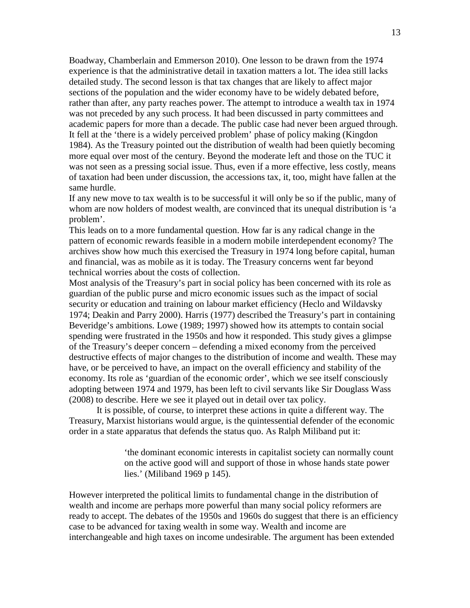Boadway, Chamberlain and Emmerson 2010). One lesson to be drawn from the 1974 experience is that the administrative detail in taxation matters a lot. The idea still lacks detailed study. The second lesson is that tax changes that are likely to affect major sections of the population and the wider economy have to be widely debated before, rather than after, any party reaches power. The attempt to introduce a wealth tax in 1974 was not preceded by any such process. It had been discussed in party committees and academic papers for more than a decade. The public case had never been argued through. It fell at the 'there is a widely perceived problem' phase of policy making (Kingdon 1984). As the Treasury pointed out the distribution of wealth had been quietly becoming more equal over most of the century. Beyond the moderate left and those on the TUC it was not seen as a pressing social issue. Thus, even if a more effective, less costly, means of taxation had been under discussion, the accessions tax, it, too, might have fallen at the same hurdle.

If any new move to tax wealth is to be successful it will only be so if the public, many of whom are now holders of modest wealth, are convinced that its unequal distribution is 'a problem'.

This leads on to a more fundamental question. How far is any radical change in the pattern of economic rewards feasible in a modern mobile interdependent economy? The archives show how much this exercised the Treasury in 1974 long before capital, human and financial, was as mobile as it is today. The Treasury concerns went far beyond technical worries about the costs of collection.

Most analysis of the Treasury's part in social policy has been concerned with its role as guardian of the public purse and micro economic issues such as the impact of social security or education and training on labour market efficiency (Heclo and Wildavsky 1974; Deakin and Parry 2000). Harris (1977) described the Treasury's part in containing Beveridge's ambitions. Lowe (1989; 1997) showed how its attempts to contain social spending were frustrated in the 1950s and how it responded. This study gives a glimpse of the Treasury's deeper concern – defending a mixed economy from the perceived destructive effects of major changes to the distribution of income and wealth. These may have, or be perceived to have, an impact on the overall efficiency and stability of the economy. Its role as 'guardian of the economic order', which we see itself consciously adopting between 1974 and 1979, has been left to civil servants like Sir Douglass Wass (2008) to describe. Here we see it played out in detail over tax policy.

It is possible, of course, to interpret these actions in quite a different way. The Treasury, Marxist historians would argue, is the quintessential defender of the economic order in a state apparatus that defends the status quo. As Ralph Miliband put it:

> 'the dominant economic interests in capitalist society can normally count on the active good will and support of those in whose hands state power lies.' (Miliband 1969 p 145).

However interpreted the political limits to fundamental change in the distribution of wealth and income are perhaps more powerful than many social policy reformers are ready to accept. The debates of the 1950s and 1960s do suggest that there is an efficiency case to be advanced for taxing wealth in some way. Wealth and income are interchangeable and high taxes on income undesirable. The argument has been extended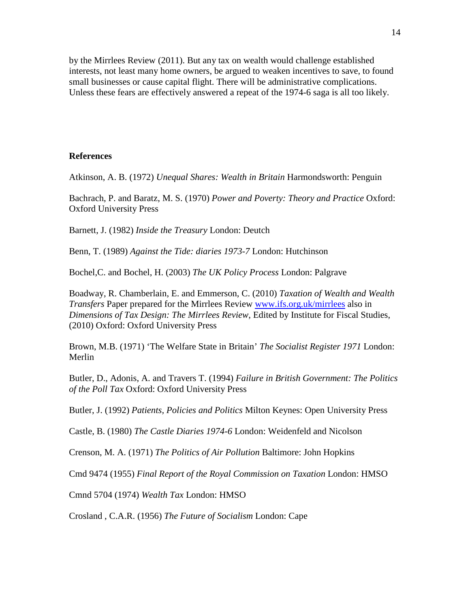by the Mirrlees Review (2011). But any tax on wealth would challenge established interests, not least many home owners, be argued to weaken incentives to save, to found small businesses or cause capital flight. There will be administrative complications. Unless these fears are effectively answered a repeat of the 1974-6 saga is all too likely.

## **References**

Atkinson, A. B. (1972) *Unequal Shares: Wealth in Britain* Harmondsworth: Penguin

Bachrach, P. and Baratz, M. S. (1970) *Power and Poverty: Theory and Practice* Oxford: Oxford University Press

Barnett, J. (1982) *Inside the Treasury* London: Deutch

Benn, T. (1989) *Against the Tide: diaries 1973-7* London: Hutchinson

Bochel,C. and Bochel, H. (2003) *The UK Policy Process* London: Palgrave

Boadway, R. Chamberlain, E. and Emmerson, C. (2010) *Taxation of Wealth and Wealth Transfers* Paper prepared for the Mirrlees Review [www.ifs.org.uk/mirrlees](http://www.ifs.org.uk/mirrlees) also in *Dimensions of Tax Design: The Mirrlees Review*, Edited by Institute for Fiscal Studies, (2010) Oxford: Oxford University Press

Brown, M.B. (1971) 'The Welfare State in Britain' *The Socialist Register 1971* London: Merlin

Butler, D., Adonis, A. and Travers T. (1994) *Failure in British Government: The Politics of the Poll Tax* Oxford: Oxford University Press

Butler, J. (1992) *Patients, Policies and Politics* Milton Keynes: Open University Press

Castle, B. (1980) *The Castle Diaries 1974-6* London: Weidenfeld and Nicolson

Crenson, M. A. (1971) *The Politics of Air Pollution* Baltimore: John Hopkins

Cmd 9474 (1955) *Final Report of the Royal Commission on Taxation* London: HMSO

Cmnd 5704 (1974) *Wealth Tax* London: HMSO

Crosland , C.A.R. (1956) *The Future of Socialism* London: Cape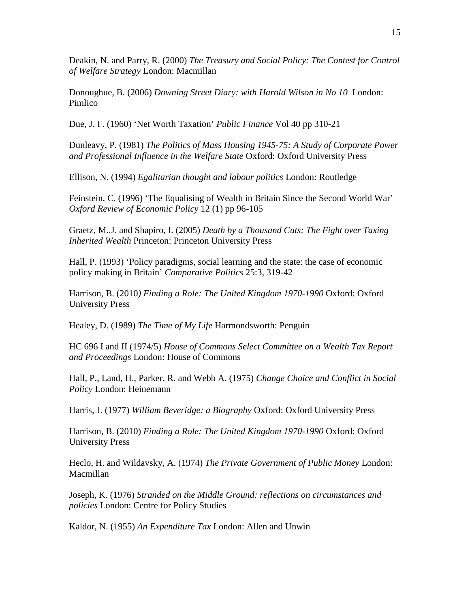Deakin, N. and Parry, R. (2000) *The Treasury and Social Policy: The Contest for Control of Welfare Strategy* London: Macmillan

Donoughue, B. (2006) *Downing Street Diary: with Harold Wilson in No 10* London: Pimlico

Due, J. F. (1960) 'Net Worth Taxation' *Public Finance* Vol 40 pp 310-21

Dunleavy, P. (1981) *The Politics of Mass Housing 1945-75: A Study of Corporate Power and Professional Influence in the Welfare State* Oxford: Oxford University Press

Ellison, N. (1994) *Egalitarian thought and labour politics* London: Routledge

Feinstein, C. (1996) 'The Equalising of Wealth in Britain Since the Second World War' *Oxford Review of Economic Policy* 12 (1) pp 96-105

Graetz, M..J. and Shapiro, I. (2005) *Death by a Thousand Cuts: The Fight over Taxing Inherited Wealth* Princeton: Princeton University Press

Hall, P. (1993) 'Policy paradigms, social learning and the state: the case of economic policy making in Britain' *Comparative Politics* 25:3, 319-42

Harrison, B. (2010*) Finding a Role: The United Kingdom 1970-1990* Oxford: Oxford University Press

Healey, D. (1989) *The Time of My Life* Harmondsworth: Penguin

HC 696 I and II (1974/5) *House of Commons Select Committee on a Wealth Tax Report and Proceedings* London: House of Commons

Hall, P., Land, H., Parker, R. and Webb A. (1975) *Change Choice and Conflict in Social Policy* London: Heinemann

Harris, J. (1977) *William Beveridge: a Biography* Oxford: Oxford University Press

Harrison, B. (2010) *Finding a Role: The United Kingdom 1970-1990* Oxford: Oxford University Press

Heclo, H. and Wildavsky, A. (1974) *The Private Government of Public Money* London: Macmillan

Joseph, K. (1976) *Stranded on the Middle Ground: reflections on circumstances and policies* London: Centre for Policy Studies

Kaldor, N. (1955) *An Expenditure Tax* London: Allen and Unwin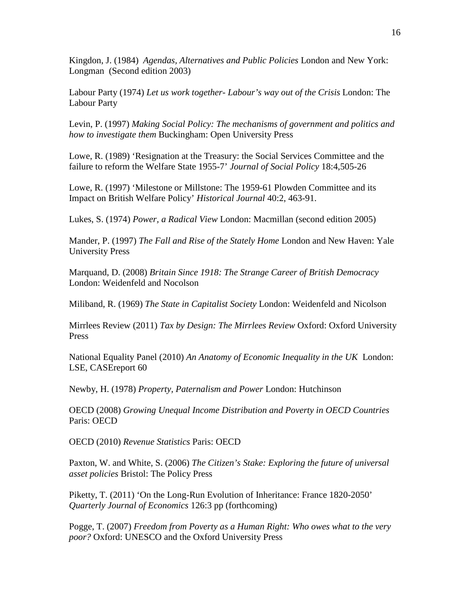Kingdon, J. (1984) *Agendas, Alternatives and Public Policies* London and New York: Longman (Second edition 2003)

Labour Party (1974) *Let us work together- Labour's way out of the Crisis* London: The Labour Party

Levin, P. (1997) *Making Social Policy: The mechanisms of government and politics and how to investigate them* Buckingham: Open University Press

Lowe, R. (1989) 'Resignation at the Treasury: the Social Services Committee and the failure to reform the Welfare State 1955-7' *Journal of Social Policy* 18:4,505-26

Lowe, R. (1997) 'Milestone or Millstone: The 1959-61 Plowden Committee and its Impact on British Welfare Policy' *Historical Journal* 40:2, 463-91.

Lukes, S. (1974) *Power, a Radical View* London: Macmillan (second edition 2005)

Mander, P. (1997) *The Fall and Rise of the Stately Home* London and New Haven: Yale University Press

Marquand, D. (2008) *Britain Since 1918: The Strange Career of British Democracy* London: Weidenfeld and Nocolson

Miliband, R. (1969) *The State in Capitalist Society* London: Weidenfeld and Nicolson

Mirrlees Review (2011) *Tax by Design: The Mirrlees Review* Oxford: Oxford University Press

National Equality Panel (2010) *An Anatomy of Economic Inequality in the UK* London: LSE, CASEreport 60

Newby, H. (1978) *Property, Paternalism and Power* London: Hutchinson

OECD (2008) *Growing Unequal Income Distribution and Poverty in OECD Countries* Paris: OECD

OECD (2010) *Revenue Statistics* Paris: OECD

Paxton, W. and White, S. (2006) *The Citizen's Stake: Exploring the future of universal asset policies* Bristol: The Policy Press

Piketty, T. (2011) 'On the Long-Run Evolution of Inheritance: France 1820-2050' *Quarterly Journal of Economics* 126:3 pp (forthcoming)

Pogge, T. (2007) *Freedom from Poverty as a Human Right: Who owes what to the very poor?* Oxford: UNESCO and the Oxford University Press